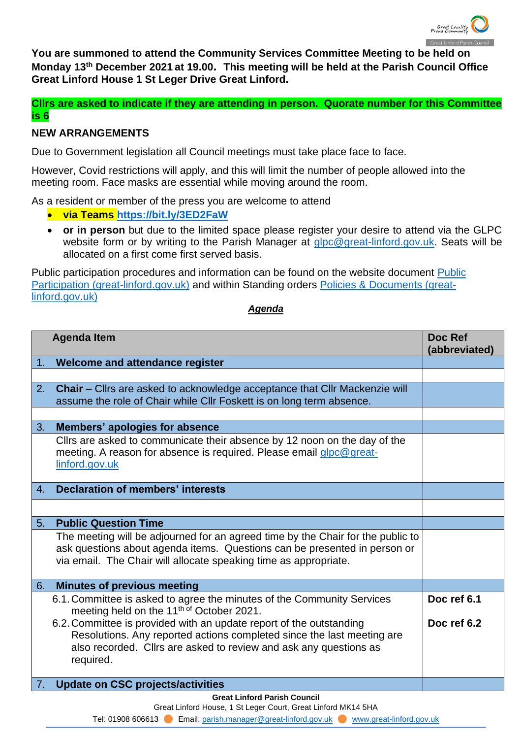

**You are summoned to attend the Community Services Committee Meeting to be held on Monday 13 th December 2021 at 19.00. This meeting will be held at the Parish Council Office Great Linford House 1 St Leger Drive Great Linford.**

**Cllrs are asked to indicate if they are attending in person. Quorate number for this Committee is 6**

## **NEW ARRANGEMENTS**

Due to Government legislation all Council meetings must take place face to face.

However, Covid restrictions will apply, and this will limit the number of people allowed into the meeting room. Face masks are essential while moving around the room.

As a resident or member of the press you are welcome to attend

- **via Teams<https://bit.ly/3ED2FaW>**
- **or in person** but due to the limited space please register your desire to attend via the GLPC website form or by writing to the Parish Manager at [glpc@great-linford.gov.uk.](mailto:glpc@great-linford.gov.uk) Seats will be allocated on a first come first served basis.

Public participation procedures and information can be found on the website document [Public](https://www.great-linford.gov.uk/council-meetings/public-participation/)  [Participation \(great-linford.gov.uk\)](https://www.great-linford.gov.uk/council-meetings/public-participation/) and within Standing orders [Policies & Documents \(great](https://www.great-linford.gov.uk/the-parish-council/policies-documents/)[linford.gov.uk\)](https://www.great-linford.gov.uk/the-parish-council/policies-documents/)

## *Agenda*

|    | <b>Agenda Item</b>                                                                                                                                                                                                               | Doc Ref<br>(abbreviated) |  |  |
|----|----------------------------------------------------------------------------------------------------------------------------------------------------------------------------------------------------------------------------------|--------------------------|--|--|
| 1. | Welcome and attendance register                                                                                                                                                                                                  |                          |  |  |
|    |                                                                                                                                                                                                                                  |                          |  |  |
| 2. | <b>Chair</b> – Cllrs are asked to acknowledge acceptance that Cllr Mackenzie will<br>assume the role of Chair while Cllr Foskett is on long term absence.                                                                        |                          |  |  |
|    |                                                                                                                                                                                                                                  |                          |  |  |
| 3. | Members' apologies for absence                                                                                                                                                                                                   |                          |  |  |
|    | Clirs are asked to communicate their absence by 12 noon on the day of the<br>meeting. A reason for absence is required. Please email glpc@great-<br>linford.gov.uk                                                               |                          |  |  |
| 4. | <b>Declaration of members' interests</b>                                                                                                                                                                                         |                          |  |  |
|    |                                                                                                                                                                                                                                  |                          |  |  |
| 5. | <b>Public Question Time</b>                                                                                                                                                                                                      |                          |  |  |
|    | The meeting will be adjourned for an agreed time by the Chair for the public to<br>ask questions about agenda items. Questions can be presented in person or<br>via email. The Chair will allocate speaking time as appropriate. |                          |  |  |
| 6. | <b>Minutes of previous meeting</b>                                                                                                                                                                                               |                          |  |  |
|    | 6.1. Committee is asked to agree the minutes of the Community Services<br>meeting held on the 11 <sup>th of</sup> October 2021.                                                                                                  | Doc ref 6.1              |  |  |
|    | 6.2. Committee is provided with an update report of the outstanding<br>Resolutions. Any reported actions completed since the last meeting are<br>also recorded. Cllrs are asked to review and ask any questions as<br>required.  | Doc ref 6.2              |  |  |
|    | <b>Update on CSC projects/activities</b>                                                                                                                                                                                         |                          |  |  |
|    | <b>Great Linford Parish Council</b>                                                                                                                                                                                              |                          |  |  |

Great Linford House, 1 St Leger Court, Great Linford MK14 5HA